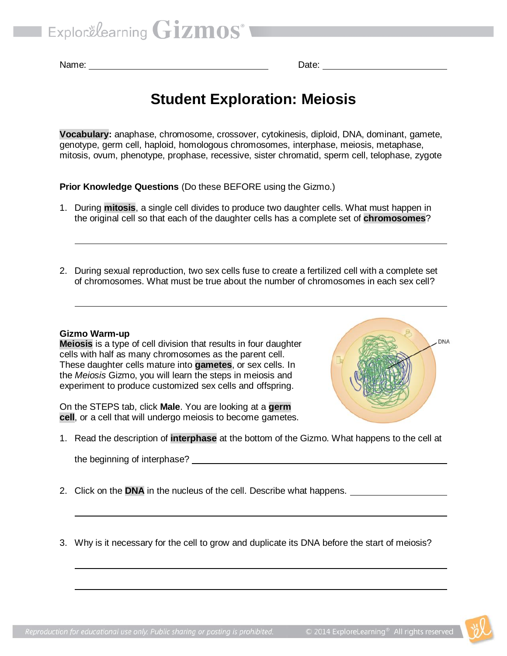Name: **Name: Name: Name: Name: Name: Date: Date: Date: Date: Date: Date: Date: Date: Date: Date: Date: Date: Date: Date: Date: Date: Date: Date: Date: Date: Date: Date:**

# **Student Exploration: Meiosis**

**Vocabulary:** anaphase, chromosome, crossover, cytokinesis, diploid, DNA, dominant, gamete, genotype, germ cell, haploid, homologous chromosomes, interphase, meiosis, metaphase, mitosis, ovum, phenotype, prophase, recessive, sister chromatid, sperm cell, telophase, zygote

**Prior Knowledge Questions** (Do these BEFORE using the Gizmo.)

- 1. During **mitosis**, a single cell divides to produce two daughter cells. What must happen in the original cell so that each of the daughter cells has a complete set of **chromosomes**?
- 2. During sexual reproduction, two sex cells fuse to create a fertilized cell with a complete set of chromosomes. What must be true about the number of chromosomes in each sex cell?

#### **Gizmo Warm-up**

**Meiosis** is a type of cell division that results in four daughter cells with half as many chromosomes as the parent cell. These daughter cells mature into **gametes**, or sex cells. In the *Meiosis* Gizmo, you will learn the steps in meiosis and experiment to produce customized sex cells and offspring.

On the STEPS tab, click **Male**. You are looking at a **germ cell**, or a cell that will undergo meiosis to become gametes.



1. Read the description of **interphase** at the bottom of the Gizmo. What happens to the cell at

the beginning of interphase?

- 2. Click on the **DNA** in the nucleus of the cell. Describe what happens.
- 3. Why is it necessary for the cell to grow and duplicate its DNA before the start of meiosis?

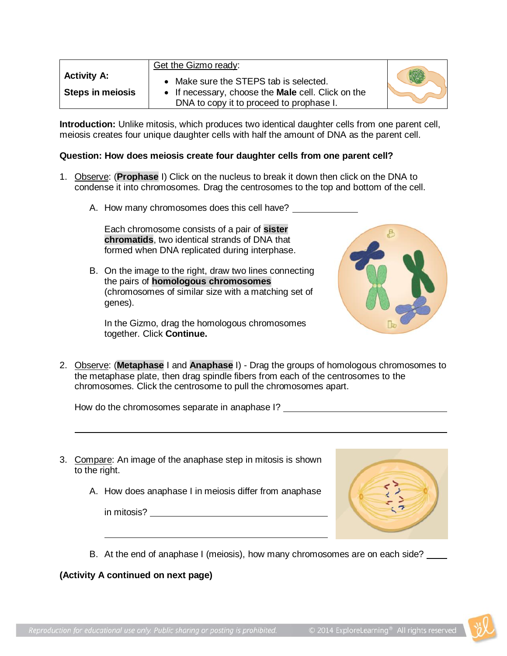|                                               | Get the Gizmo ready:                                                                                                                                       |  |
|-----------------------------------------------|------------------------------------------------------------------------------------------------------------------------------------------------------------|--|
| <b>Activity A:</b><br><b>Steps in meiosis</b> | Make sure the STEPS tab is selected.<br>$\bullet$<br>• If necessary, choose the <b>Male</b> cell. Click on the<br>DNA to copy it to proceed to prophase I. |  |

**Introduction:** Unlike mitosis, which produces two identical daughter cells from one parent cell, meiosis creates four unique daughter cells with half the amount of DNA as the parent cell.

#### **Question: How does meiosis create four daughter cells from one parent cell?**

- 1. Observe: (**Prophase** I) Click on the nucleus to break it down then click on the DNA to condense it into chromosomes. Drag the centrosomes to the top and bottom of the cell.
	- A. How many chromosomes does this cell have?

Each chromosome consists of a pair of **sister chromatids**, two identical strands of DNA that formed when DNA replicated during interphase.

B. On the image to the right, draw two lines connecting the pairs of **homologous chromosomes** (chromosomes of similar size with a matching set of genes).

In the Gizmo, drag the homologous chromosomes together. Click **Continue.**



2. Observe: (**Metaphase** I and **Anaphase** I) - Drag the groups of homologous chromosomes to the metaphase plate, then drag spindle fibers from each of the centrosomes to the chromosomes. Click the centrosome to pull the chromosomes apart.

How do the chromosomes separate in anaphase I?

- 3. Compare: An image of the anaphase step in mitosis is shown to the right.
	- A. How does anaphase I in meiosis differ from anaphase

in mitosis?



B. At the end of anaphase I (meiosis), how many chromosomes are on each side?

**(Activity A continued on next page)**

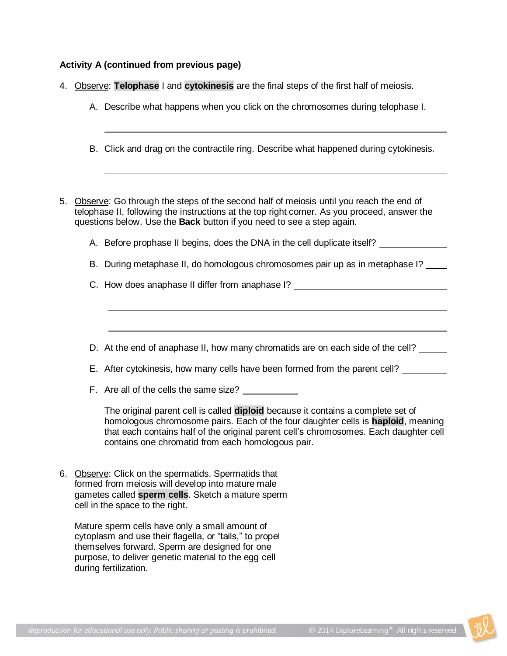## **Activity A (continued from previous page)**

|  |  |  |  |  |  | 4. Observe: Telophase I and cytokinesis are the final steps of the first half of meiosis. |
|--|--|--|--|--|--|-------------------------------------------------------------------------------------------|
|--|--|--|--|--|--|-------------------------------------------------------------------------------------------|

- A. Describe what happens when you click on the chromosomes during telophase I.
- B. Click and drag on the contractile ring. Describe what happened during cytokinesis.
- 5. Observe: Go through the steps of the second half of meiosis until you reach the end of telophase II, following the instructions at the top right corner. As you proceed, answer the questions below. Use the **Back** button if you need to see a step again.
	- A. Before prophase II begins, does the DNA in the cell duplicate itself?
	- B. During metaphase II, do homologous chromosomes pair up as in metaphase I?
	- C. How does anaphase II differ from anaphase I?
	- D. At the end of anaphase II, how many chromatids are on each side of the cell?
	- E. After cytokinesis, how many cells have been formed from the parent cell?
	- F. Are all of the cells the same size?

The original parent cell is called **diploid** because it contains a complete set of homologous chromosome pairs. Each of the four daughter cells is **haploid**, meaning that each contains half of the original parent cell's chromosomes. Each daughter cell contains one chromatid from each homologous pair.

6. Observe: Click on the spermatids. Spermatids that formed from meiosis will develop into mature male gametes called **sperm cells**. Sketch a mature sperm cell in the space to the right.

Mature sperm cells have only a small amount of cytoplasm and use their flagella, or "tails," to propel themselves forward. Sperm are designed for one purpose, to deliver genetic material to the egg cell during fertilization.

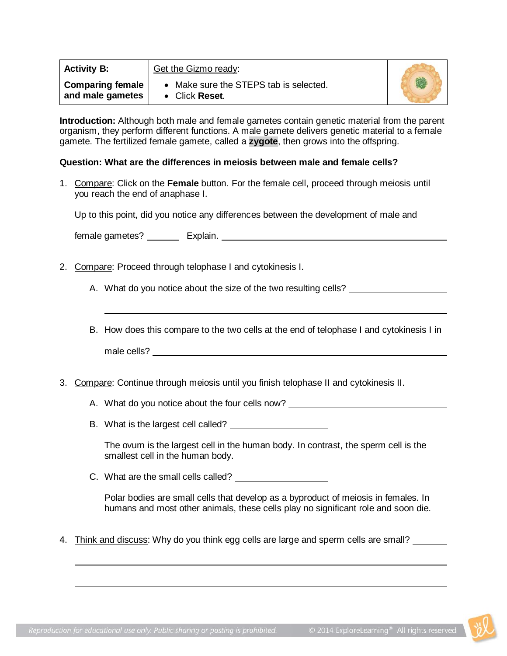| <b>Activity B:</b>                          | Get the Gizmo ready:                                     |  |
|---------------------------------------------|----------------------------------------------------------|--|
| <b>Comparing female</b><br>and male gametes | • Make sure the STEPS tab is selected.<br>• Click Reset. |  |

**Introduction:** Although both male and female gametes contain genetic material from the parent organism, they perform different functions. A male gamete delivers genetic material to a female gamete. The fertilized female gamete, called a **zygote**, then grows into the offspring.

#### **Question: What are the differences in meiosis between male and female cells?**

1. Compare: Click on the **Female** button. For the female cell, proceed through meiosis until you reach the end of anaphase I.

Up to this point, did you notice any differences between the development of male and

female gametes? Explain.

2. Compare: Proceed through telophase I and cytokinesis I.

A. What do you notice about the size of the two resulting cells? \_\_\_\_\_\_\_\_\_\_\_\_\_\_\_

B. How does this compare to the two cells at the end of telophase I and cytokinesis I in male cells? The contract of the contract of the contract of the contract of the contract of the contract of the contract of the contract of the contract of the contract of the contract of the contract of the contract of th

## 3. Compare: Continue through meiosis until you finish telophase II and cytokinesis II.

- A. What do you notice about the four cells now?
- B. What is the largest cell called?

The ovum is the largest cell in the human body. In contrast, the sperm cell is the smallest cell in the human body.

C. What are the small cells called?

Polar bodies are small cells that develop as a byproduct of meiosis in females. In humans and most other animals, these cells play no significant role and soon die.

4. Think and discuss: Why do you think egg cells are large and sperm cells are small?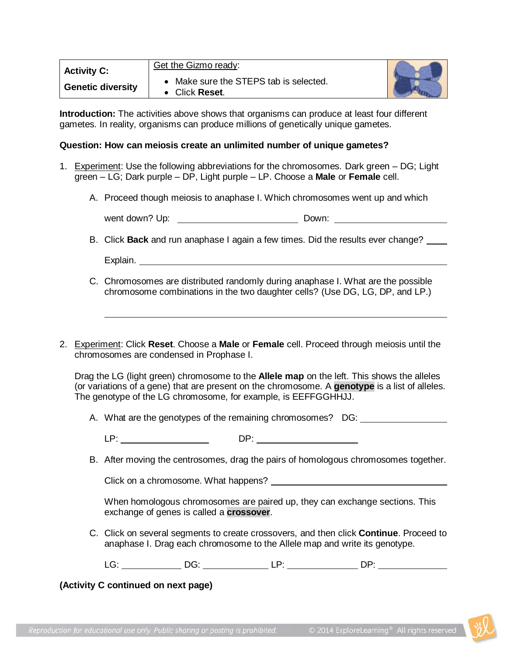| <b>Activity C:</b>       | Get the Gizmo ready:                                 |  |
|--------------------------|------------------------------------------------------|--|
| <b>Genetic diversity</b> | Make sure the STEPS tab is selected.<br>Click Reset. |  |

**Introduction:** The activities above shows that organisms can produce at least four different gametes. In reality, organisms can produce millions of genetically unique gametes.

#### **Question: How can meiosis create an unlimited number of unique gametes?**

- 1. Experiment: Use the following abbreviations for the chromosomes. Dark green DG; Light green – LG; Dark purple – DP, Light purple – LP. Choose a **Male** or **Female** cell.
	- A. Proceed though meiosis to anaphase I. Which chromosomes went up and which

| went down? Up: | Down: |  |
|----------------|-------|--|
|                |       |  |

B. Click **Back** and run anaphase I again a few times. Did the results ever change?

- C. Chromosomes are distributed randomly during anaphase I. What are the possible chromosome combinations in the two daughter cells? (Use DG, LG, DP, and LP.)
- 2. Experiment: Click **Reset**. Choose a **Male** or **Female** cell. Proceed through meiosis until the chromosomes are condensed in Prophase I.

Drag the LG (light green) chromosome to the **Allele map** on the left. This shows the alleles (or variations of a gene) that are present on the chromosome. A **genotype** is a list of alleles. The genotype of the LG chromosome, for example, is EEFFGGHHJJ.

A. What are the genotypes of the remaining chromosomes? DG:

| . .<br>- | - - - |  |
|----------|-------|--|
|          |       |  |

B. After moving the centrosomes, drag the pairs of homologous chromosomes together.

Click on a chromosome. What happens?

When homologous chromosomes are paired up, they can exchange sections. This exchange of genes is called a **crossover**.

C. Click on several segments to create crossovers, and then click **Continue**. Proceed to anaphase I. Drag each chromosome to the Allele map and write its genotype.

LG: DG: LP: DP:

## **(Activity C continued on next page)**

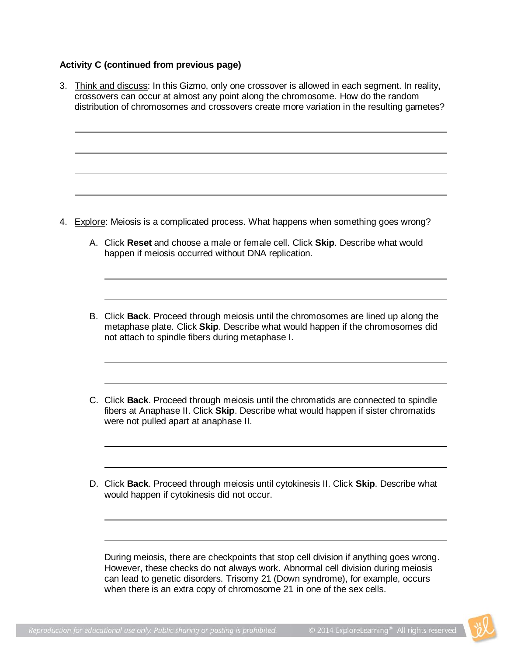## **Activity C (continued from previous page)**

- 3. Think and discuss: In this Gizmo, only one crossover is allowed in each segment. In reality, crossovers can occur at almost any point along the chromosome. How do the random distribution of chromosomes and crossovers create more variation in the resulting gametes? 4. Explore: Meiosis is a complicated process. What happens when something goes wrong? A. Click **Reset** and choose a male or female cell. Click **Skip**. Describe what would happen if meiosis occurred without DNA replication. B. Click **Back**. Proceed through meiosis until the chromosomes are lined up along the metaphase plate. Click **Skip**. Describe what would happen if the chromosomes did not attach to spindle fibers during metaphase I. C. Click **Back**. Proceed through meiosis until the chromatids are connected to spindle fibers at Anaphase II. Click **Skip**. Describe what would happen if sister chromatids were not pulled apart at anaphase II.
	- D. Click **Back**. Proceed through meiosis until cytokinesis II. Click **Skip**. Describe what would happen if cytokinesis did not occur.

During meiosis, there are checkpoints that stop cell division if anything goes wrong. However, these checks do not always work. Abnormal cell division during meiosis can lead to genetic disorders. Trisomy 21 (Down syndrome), for example, occurs when there is an extra copy of chromosome 21 in one of the sex cells.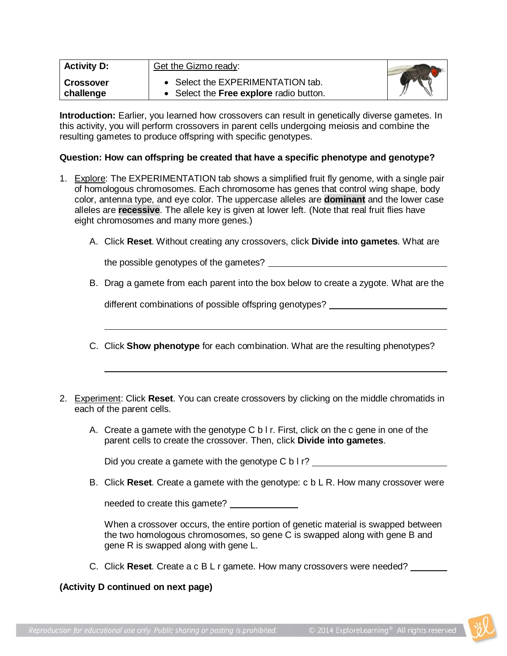| <b>Activity D:</b>            | Get the Gizmo ready:                                                         |  |
|-------------------------------|------------------------------------------------------------------------------|--|
| <b>Crossover</b><br>challenge | • Select the EXPERIMENTATION tab.<br>• Select the Free explore radio button. |  |

**Introduction:** Earlier, you learned how crossovers can result in genetically diverse gametes. In this activity, you will perform crossovers in parent cells undergoing meiosis and combine the resulting gametes to produce offspring with specific genotypes.

## **Question: How can offspring be created that have a specific phenotype and genotype?**

- 1. Explore: The EXPERIMENTATION tab shows a simplified fruit fly genome, with a single pair of homologous chromosomes. Each chromosome has genes that control wing shape, body color, antenna type, and eye color. The uppercase alleles are **dominant** and the lower case alleles are **recessive**. The allele key is given at lower left. (Note that real fruit flies have eight chromosomes and many more genes.)
	- A. Click **Reset**. Without creating any crossovers, click **Divide into gametes**. What are

the possible genotypes of the gametes?

B. Drag a gamete from each parent into the box below to create a zygote. What are the

different combinations of possible offspring genotypes? \_\_\_\_\_\_\_\_\_\_\_\_\_\_\_\_\_\_\_\_\_\_\_\_

- C. Click **Show phenotype** for each combination. What are the resulting phenotypes?
- 2. Experiment: Click **Reset**. You can create crossovers by clicking on the middle chromatids in each of the parent cells.
	- A. Create a gamete with the genotype C b l r. First, click on the c gene in one of the parent cells to create the crossover. Then, click **Divide into gametes**.

Did you create a gamete with the genotype C b I r?

B. Click **Reset**. Create a gamete with the genotype: c b L R. How many crossover were

needed to create this gamete?

When a crossover occurs, the entire portion of genetic material is swapped between the two homologous chromosomes, so gene C is swapped along with gene B and gene R is swapped along with gene L.

C. Click **Reset**. Create a c B L r gamete. How many crossovers were needed?

## **(Activity D continued on next page)**